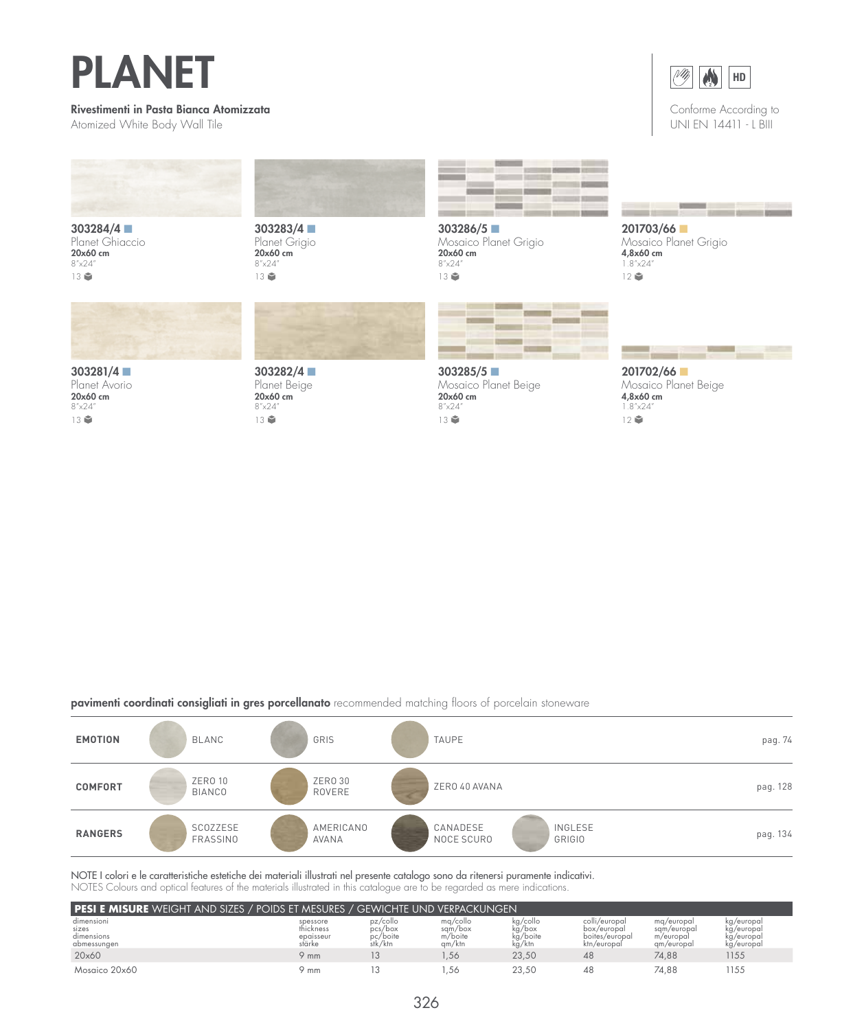## PLANET

## Rivestimenti in Pasta Bianca Atomizzata

Atomized White Body Wall Tile



303284/4 ■ Planet Ghiaccio<br>**20x60 cm** 8"x24" 13



303283/4 ■ Planet Grigio<br>**20x60 cm** 8"x24" 13



303286/5 ■ Mosaico Planet Grigio<br>**20x60 cm** 8"x24" 13





2

 $M$ 

HD

1.8"x24"  $12$ 



201702/66 ■ Mosaico Planet Beige 4,8x60 cm 1.8"x24"  $12$ 

303281/4 ■ Planet Avorio 20x60 cm 8"x24" 13章





303282/4 ■ Planet Beige 20x60 cm 8"x24" 13章



## pavimenti coordinati consigliati in gres porcellanato recommended matching floors of porcelain stoneware

| <b>EMOTION</b> | BLANC                    | GRIS               | <b>TAUPE</b>                                       | pag. 74  |
|----------------|--------------------------|--------------------|----------------------------------------------------|----------|
| <b>COMFORT</b> | ZERO 10<br><b>BIANCO</b> | ZERO 30<br>ROVERE  | ZERO 40 AVANA                                      | pag. 128 |
| <b>RANGERS</b> | SCOZZESE<br>FRASSINO     | AMERICANO<br>AVANA | CANADESE<br><b>INGLESE</b><br>NOCE SCURO<br>GRIGIO | pag. 134 |

NOTE I colori e le caratteristiche estetiche dei materiali illustrati nel presente catalogo sono da ritenersi puramente indicativi. NOTES Colours and optical features of the materials illustrated in this catalogue are to be regarded as mere indications.

| <b>I pesi e misure</b> weight and sizes / poids et mesures / gewichte und verpackungen |                                              |                                            |                                          |                                          |                                                               |                                                      |                                                      |
|----------------------------------------------------------------------------------------|----------------------------------------------|--------------------------------------------|------------------------------------------|------------------------------------------|---------------------------------------------------------------|------------------------------------------------------|------------------------------------------------------|
| dimensioni<br>sizes<br>dimensions<br>abmessungen                                       | spessore<br>thickness<br>epaisseur<br>stärke | pz/collo<br>pcs/box<br>pc/boite<br>stk/ktn | mg/collo<br>sqm/box<br>m/boite<br>gm/ktn | kg/collo<br>kg/box<br>kg/boite<br>kg/ktn | colli/europal<br>box/europal<br>boites/europal<br>ktn/europal | ma/europal<br>sgm/europal<br>m/europal<br>gm/europal | kg/europal<br>kg/europai<br>kg/europal<br>kg/europal |
| 20×60                                                                                  | 9 mm                                         |                                            | .56                                      | 23,50                                    | 48                                                            | 74.88                                                | 1155                                                 |
| Mosgico 20x60                                                                          | 9 mm                                         |                                            | .56                                      | 23.50                                    | 48                                                            | 74.88                                                | 1155                                                 |